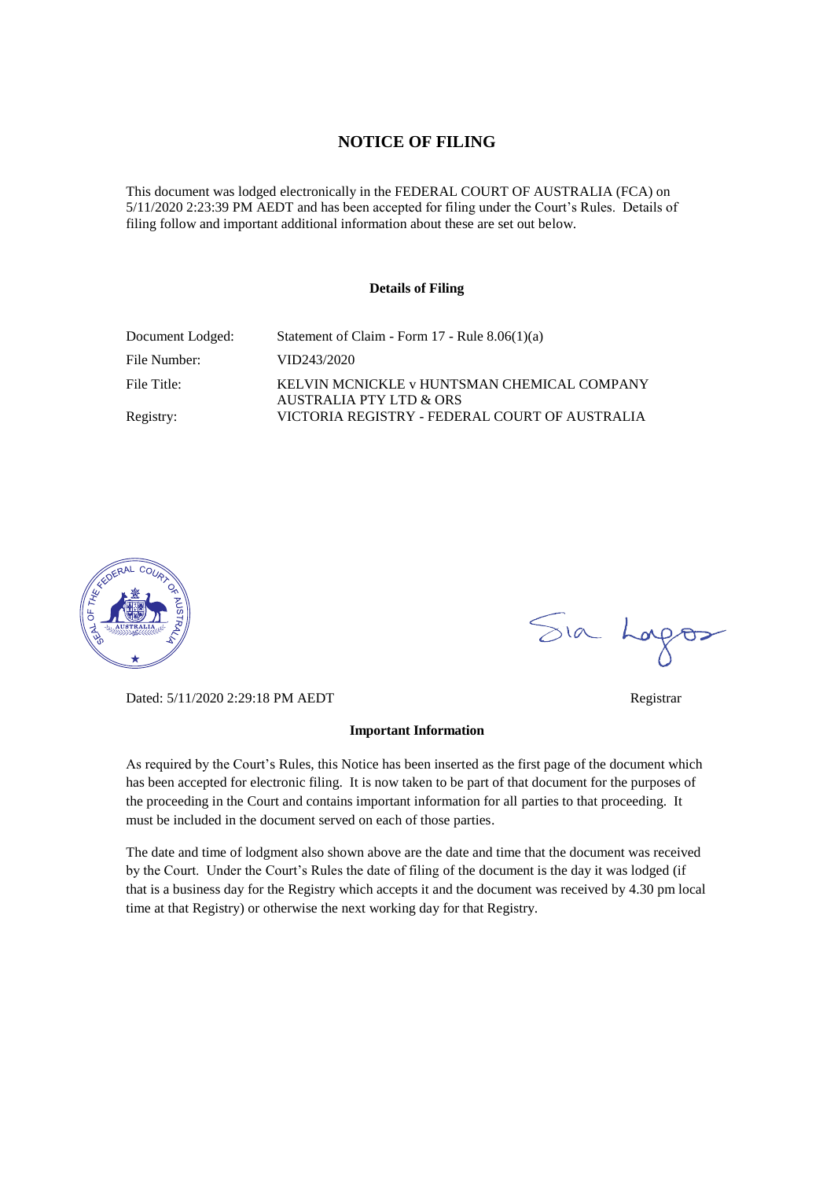#### **NOTICE OF FILING**

This document was lodged electronically in the FEDERAL COURT OF AUSTRALIA (FCA) on 5/11/2020 2:23:39 PM AEDT and has been accepted for filing under the Court's Rules. Details of filing follow and important additional information about these are set out below.

#### **Details of Filing**

| Document Lodged: | Statement of Claim - Form 17 - Rule 8.06(1)(a)                                    |
|------------------|-----------------------------------------------------------------------------------|
| File Number:     | VID243/2020                                                                       |
| File Title:      | KELVIN MCNICKLE v HUNTSMAN CHEMICAL COMPANY<br><b>AUSTRALIA PTY LTD &amp; ORS</b> |
| Registry:        | VICTORIA REGISTRY - FEDERAL COURT OF AUSTRALIA                                    |



Dated: 5/11/2020 2:29:18 PM AEDT Registrar

#### **Important Information**

As required by the Court's Rules, this Notice has been inserted as the first page of the document which has been accepted for electronic filing. It is now taken to be part of that document for the purposes of the proceeding in the Court and contains important information for all parties to that proceeding. It must be included in the document served on each of those parties.

The date and time of lodgment also shown above are the date and time that the document was received by the Court. Under the Court's Rules the date of filing of the document is the day it was lodged (if that is a business day for the Registry which accepts it and the document was received by 4.30 pm local time at that Registry) or otherwise the next working day for that Registry.

Sia Logos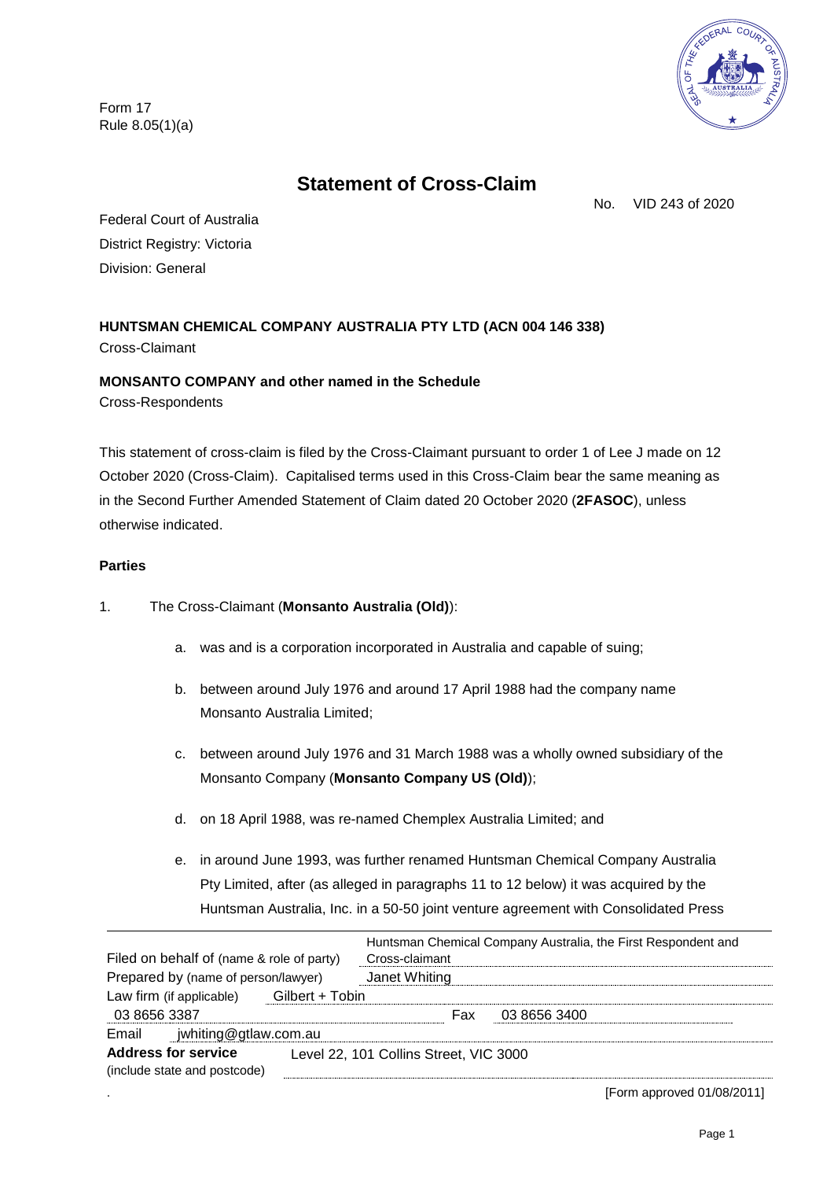Form 17 Rule 8.05(1)(a)



# **Statement of Cross-Claim**

No. VID 243 of 2020

Federal Court of Australia District Registry: Victoria Division: General

**HUNTSMAN CHEMICAL COMPANY AUSTRALIA PTY LTD (ACN 004 146 338)** Cross-Claimant

# **MONSANTO COMPANY and other named in the Schedule**

Cross-Respondents

This statement of cross-claim is filed by the Cross-Claimant pursuant to order 1 of Lee J made on 12 October 2020 (Cross-Claim). Capitalised terms used in this Cross-Claim bear the same meaning as in the Second Further Amended Statement of Claim dated 20 October 2020 (**2FASOC**), unless otherwise indicated.

## **Parties**

1. The Cross-Claimant (**Monsanto Australia (Old)**):

- a. was and is a corporation incorporated in Australia and capable of suing;
- b. between around July 1976 and around 17 April 1988 had the company name Monsanto Australia Limited;
- c. between around July 1976 and 31 March 1988 was a wholly owned subsidiary of the Monsanto Company (**Monsanto Company US (Old)**);
- d. on 18 April 1988, was re-named Chemplex Australia Limited; and
- e. in around June 1993, was further renamed Huntsman Chemical Company Australia Pty Limited, after (as alleged in paragraphs [11](#page-4-0) to [12](#page-4-1) below) it was acquired by the Huntsman Australia, Inc. in a 50-50 joint venture agreement with Consolidated Press

| Filed on behalf of (name & role of party)<br>Prepared by (name of person/lawyer) |                 | Cross-claimant<br>Janet Whiting        | Huntsman Chemical Company Australia, the First Respondent and |  |
|----------------------------------------------------------------------------------|-----------------|----------------------------------------|---------------------------------------------------------------|--|
| Law firm (if applicable)<br>03 8656 3387                                         | Gilbert + Tobin | Fax                                    | 03 8656 3400                                                  |  |
| Email jwhiting@gtlaw.com.au                                                      |                 |                                        |                                                               |  |
| <b>Address for service</b><br>(include state and postcode)                       |                 | Level 22, 101 Collins Street, VIC 3000 |                                                               |  |

. [Form approved 01/08/2011]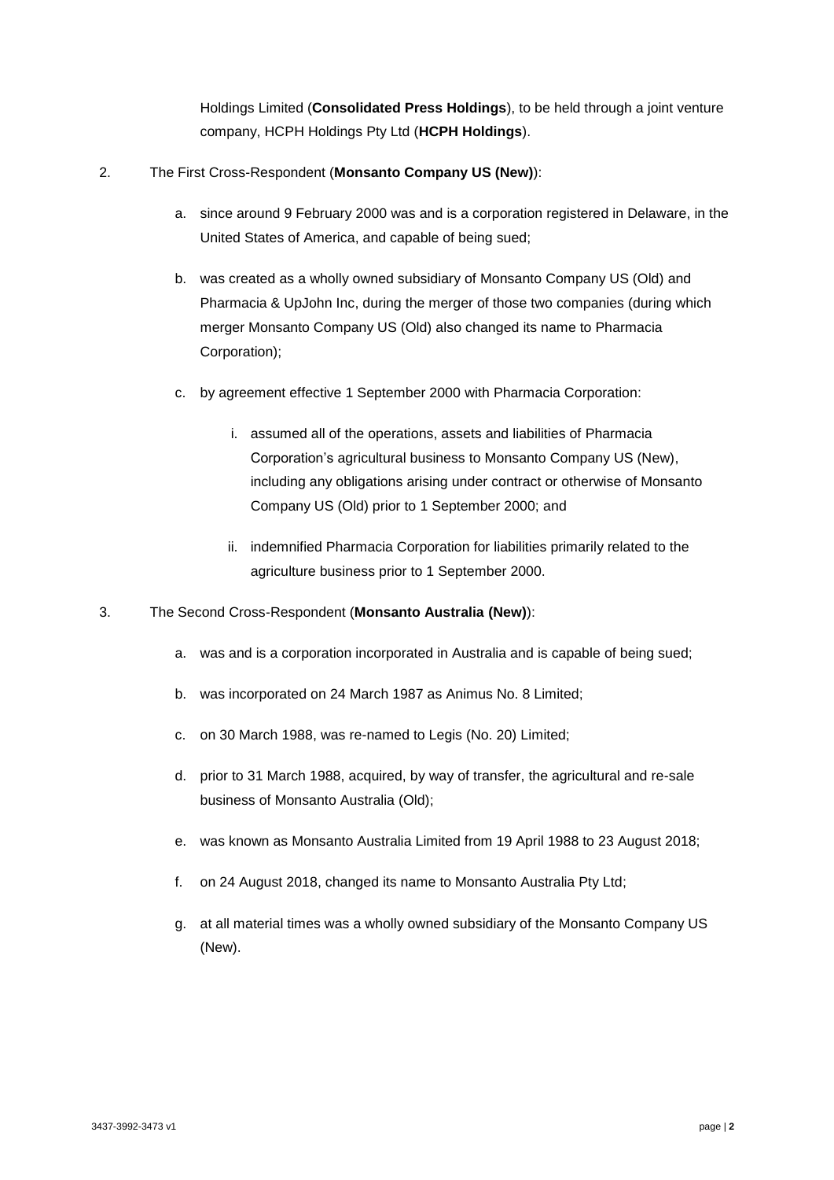Holdings Limited (**Consolidated Press Holdings**), to be held through a joint venture company, HCPH Holdings Pty Ltd (**HCPH Holdings**).

- 2. The First Cross-Respondent (**Monsanto Company US (New)**):
	- a. since around 9 February 2000 was and is a corporation registered in Delaware, in the United States of America, and capable of being sued;
	- b. was created as a wholly owned subsidiary of Monsanto Company US (Old) and Pharmacia & UpJohn Inc, during the merger of those two companies (during which merger Monsanto Company US (Old) also changed its name to Pharmacia Corporation);
	- c. by agreement effective 1 September 2000 with Pharmacia Corporation:
		- i. assumed all of the operations, assets and liabilities of Pharmacia Corporation's agricultural business to Monsanto Company US (New), including any obligations arising under contract or otherwise of Monsanto Company US (Old) prior to 1 September 2000; and
		- ii. indemnified Pharmacia Corporation for liabilities primarily related to the agriculture business prior to 1 September 2000.
- 3. The Second Cross-Respondent (**Monsanto Australia (New)**):
	- a. was and is a corporation incorporated in Australia and is capable of being sued;
	- b. was incorporated on 24 March 1987 as Animus No. 8 Limited;
	- c. on 30 March 1988, was re-named to Legis (No. 20) Limited;
	- d. prior to 31 March 1988, acquired, by way of transfer, the agricultural and re-sale business of Monsanto Australia (Old);
	- e. was known as Monsanto Australia Limited from 19 April 1988 to 23 August 2018;
	- f. on 24 August 2018, changed its name to Monsanto Australia Pty Ltd;
	- g. at all material times was a wholly owned subsidiary of the Monsanto Company US (New).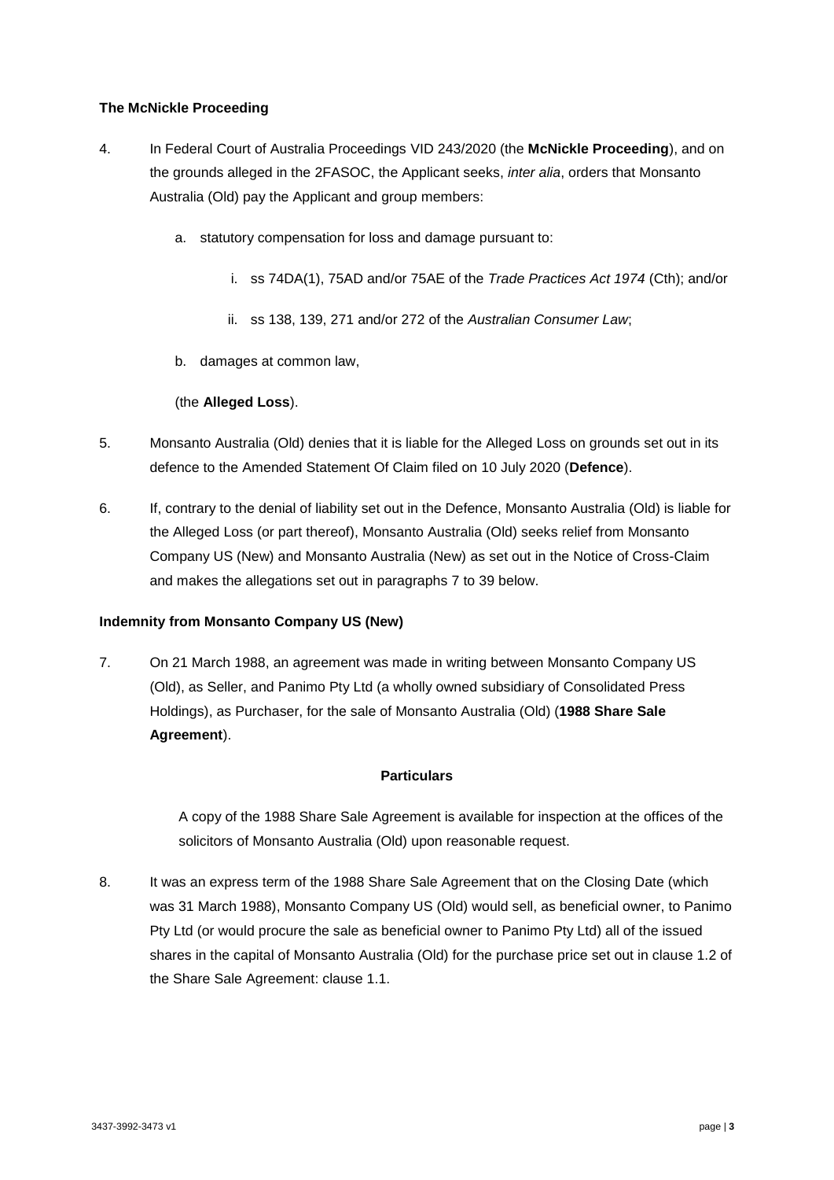#### **The McNickle Proceeding**

- 4. In Federal Court of Australia Proceedings VID 243/2020 (the **McNickle Proceeding**), and on the grounds alleged in the 2FASOC, the Applicant seeks, *inter alia*, orders that Monsanto Australia (Old) pay the Applicant and group members:
	- a. statutory compensation for loss and damage pursuant to:
		- i. ss 74DA(1), 75AD and/or 75AE of the *Trade Practices Act 1974* (Cth); and/or
		- ii. ss 138, 139, 271 and/or 272 of the *Australian Consumer Law*;
	- b. damages at common law,

### (the **Alleged Loss**).

- 5. Monsanto Australia (Old) denies that it is liable for the Alleged Loss on grounds set out in its defence to the Amended Statement Of Claim filed on 10 July 2020 (**Defence**).
- 6. If, contrary to the denial of liability set out in the Defence, Monsanto Australia (Old) is liable for the Alleged Loss (or part thereof), Monsanto Australia (Old) seeks relief from Monsanto Company US (New) and Monsanto Australia (New) as set out in the Notice of Cross-Claim and makes the allegations set out in paragraphs 7 to [39](#page-9-0) below.

#### **Indemnity from Monsanto Company US (New)**

<span id="page-3-0"></span>7. On 21 March 1988, an agreement was made in writing between Monsanto Company US (Old), as Seller, and Panimo Pty Ltd (a wholly owned subsidiary of Consolidated Press Holdings), as Purchaser, for the sale of Monsanto Australia (Old) (**1988 Share Sale Agreement**).

#### **Particulars**

A copy of the 1988 Share Sale Agreement is available for inspection at the offices of the solicitors of Monsanto Australia (Old) upon reasonable request.

8. It was an express term of the 1988 Share Sale Agreement that on the Closing Date (which was 31 March 1988), Monsanto Company US (Old) would sell, as beneficial owner, to Panimo Pty Ltd (or would procure the sale as beneficial owner to Panimo Pty Ltd) all of the issued shares in the capital of Monsanto Australia (Old) for the purchase price set out in clause 1.2 of the Share Sale Agreement: clause 1.1.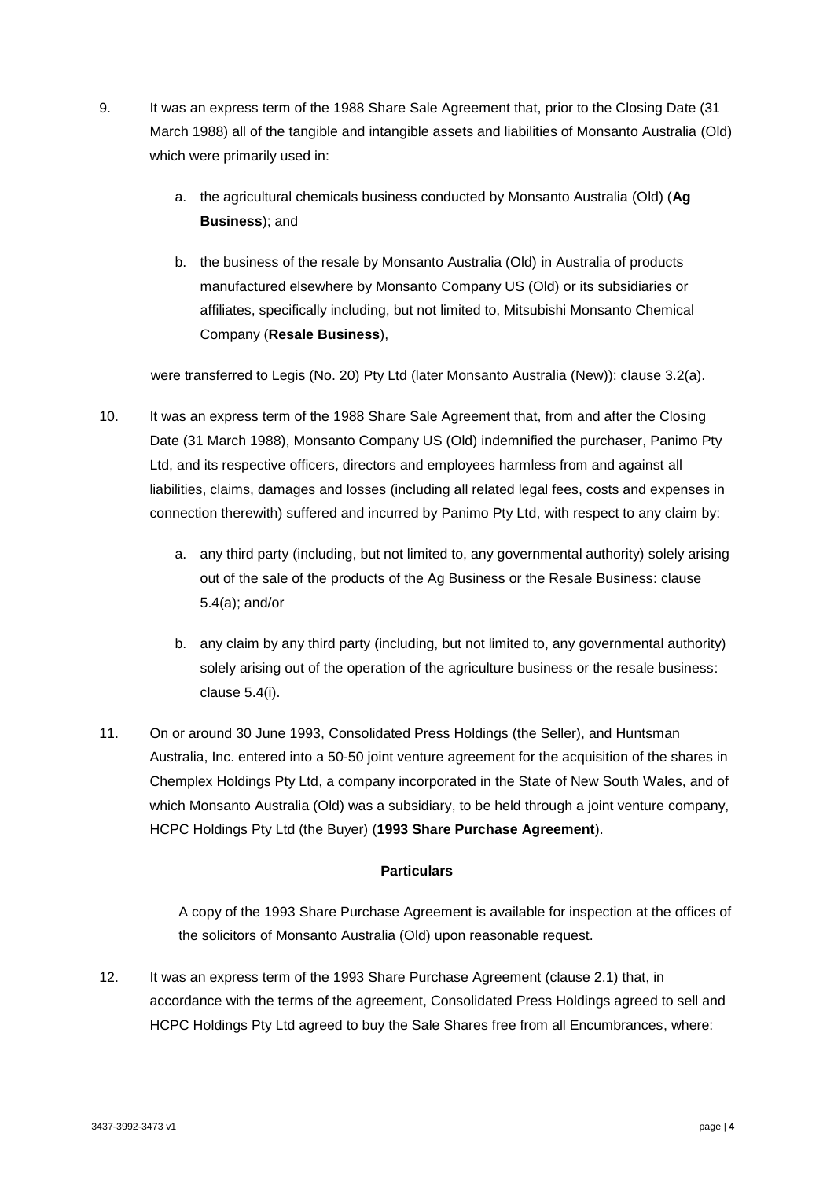- 9. It was an express term of the 1988 Share Sale Agreement that, prior to the Closing Date (31 March 1988) all of the tangible and intangible assets and liabilities of Monsanto Australia (Old) which were primarily used in:
	- a. the agricultural chemicals business conducted by Monsanto Australia (Old) (**Ag Business**); and
	- b. the business of the resale by Monsanto Australia (Old) in Australia of products manufactured elsewhere by Monsanto Company US (Old) or its subsidiaries or affiliates, specifically including, but not limited to, Mitsubishi Monsanto Chemical Company (**Resale Business**),

were transferred to Legis (No. 20) Pty Ltd (later Monsanto Australia (New)): clause 3.2(a).

- 10. It was an express term of the 1988 Share Sale Agreement that, from and after the Closing Date (31 March 1988), Monsanto Company US (Old) indemnified the purchaser, Panimo Pty Ltd, and its respective officers, directors and employees harmless from and against all liabilities, claims, damages and losses (including all related legal fees, costs and expenses in connection therewith) suffered and incurred by Panimo Pty Ltd, with respect to any claim by:
	- a. any third party (including, but not limited to, any governmental authority) solely arising out of the sale of the products of the Ag Business or the Resale Business: clause 5.4(a); and/or
	- b. any claim by any third party (including, but not limited to, any governmental authority) solely arising out of the operation of the agriculture business or the resale business: clause 5.4(i).
- <span id="page-4-0"></span>11. On or around 30 June 1993, Consolidated Press Holdings (the Seller), and Huntsman Australia, Inc. entered into a 50-50 joint venture agreement for the acquisition of the shares in Chemplex Holdings Pty Ltd, a company incorporated in the State of New South Wales, and of which Monsanto Australia (Old) was a subsidiary, to be held through a joint venture company, HCPC Holdings Pty Ltd (the Buyer) (**1993 Share Purchase Agreement**).

#### **Particulars**

A copy of the 1993 Share Purchase Agreement is available for inspection at the offices of the solicitors of Monsanto Australia (Old) upon reasonable request.

<span id="page-4-1"></span>12. It was an express term of the 1993 Share Purchase Agreement (clause 2.1) that, in accordance with the terms of the agreement, Consolidated Press Holdings agreed to sell and HCPC Holdings Pty Ltd agreed to buy the Sale Shares free from all Encumbrances, where: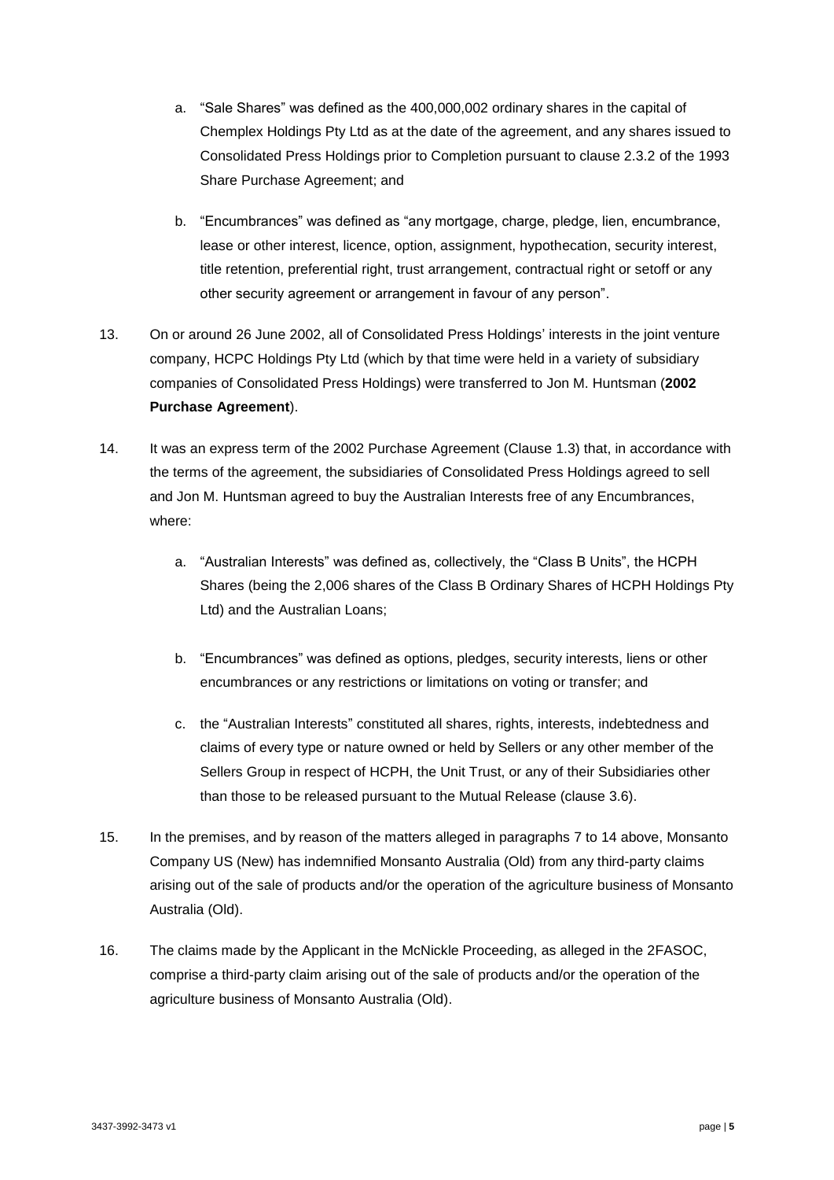- a. "Sale Shares" was defined as the 400,000,002 ordinary shares in the capital of Chemplex Holdings Pty Ltd as at the date of the agreement, and any shares issued to Consolidated Press Holdings prior to Completion pursuant to clause 2.3.2 of the 1993 Share Purchase Agreement; and
- b. "Encumbrances" was defined as "any mortgage, charge, pledge, lien, encumbrance, lease or other interest, licence, option, assignment, hypothecation, security interest, title retention, preferential right, trust arrangement, contractual right or setoff or any other security agreement or arrangement in favour of any person".
- 13. On or around 26 June 2002, all of Consolidated Press Holdings' interests in the joint venture company, HCPC Holdings Pty Ltd (which by that time were held in a variety of subsidiary companies of Consolidated Press Holdings) were transferred to Jon M. Huntsman (**2002 Purchase Agreement**).
- <span id="page-5-0"></span>14. It was an express term of the 2002 Purchase Agreement (Clause 1.3) that, in accordance with the terms of the agreement, the subsidiaries of Consolidated Press Holdings agreed to sell and Jon M. Huntsman agreed to buy the Australian Interests free of any Encumbrances, where:
	- a. "Australian Interests" was defined as, collectively, the "Class B Units", the HCPH Shares (being the 2,006 shares of the Class B Ordinary Shares of HCPH Holdings Pty Ltd) and the Australian Loans;
	- b. "Encumbrances" was defined as options, pledges, security interests, liens or other encumbrances or any restrictions or limitations on voting or transfer; and
	- c. the "Australian Interests" constituted all shares, rights, interests, indebtedness and claims of every type or nature owned or held by Sellers or any other member of the Sellers Group in respect of HCPH, the Unit Trust, or any of their Subsidiaries other than those to be released pursuant to the Mutual Release (clause 3.6).
- 15. In the premises, and by reason of the matters alleged in paragraphs [7](#page-3-0) to [14](#page-5-0) above, Monsanto Company US (New) has indemnified Monsanto Australia (Old) from any third-party claims arising out of the sale of products and/or the operation of the agriculture business of Monsanto Australia (Old).
- 16. The claims made by the Applicant in the McNickle Proceeding, as alleged in the 2FASOC, comprise a third-party claim arising out of the sale of products and/or the operation of the agriculture business of Monsanto Australia (Old).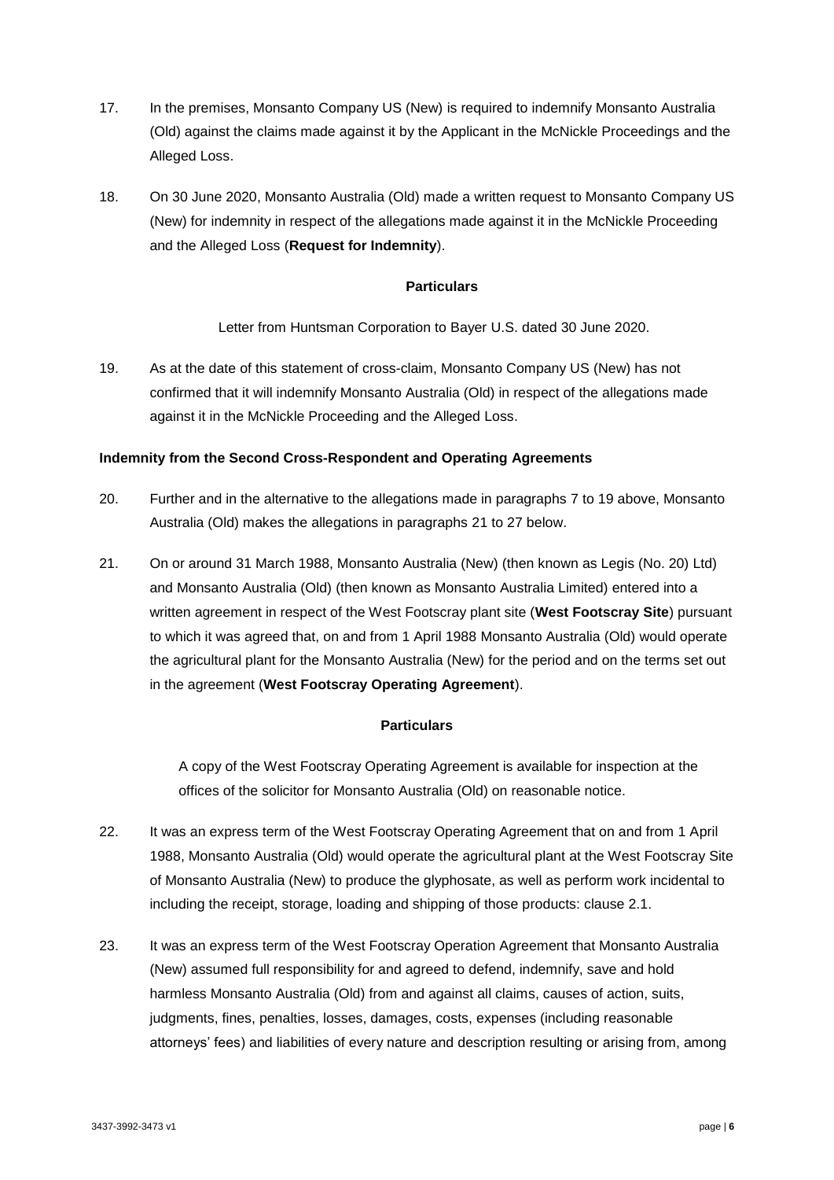- 17. In the premises, Monsanto Company US (New) is required to indemnify Monsanto Australia (Old) against the claims made against it by the Applicant in the McNickle Proceedings and the Alleged Loss.
- 18. On 30 June 2020, Monsanto Australia (Old) made a written request to Monsanto Company US (New) for indemnity in respect of the allegations made against it in the McNickle Proceeding and the Alleged Loss (**Request for Indemnity**).

#### **Particulars**

Letter from Huntsman Corporation to Bayer U.S. dated 30 June 2020.

<span id="page-6-0"></span>19. As at the date of this statement of cross-claim, Monsanto Company US (New) has not confirmed that it will indemnify Monsanto Australia (Old) in respect of the allegations made against it in the McNickle Proceeding and the Alleged Loss.

#### **Indemnity from the Second Cross-Respondent and Operating Agreements**

- <span id="page-6-2"></span>20. Further and in the alternative to the allegations made in paragraphs [7](#page-3-0) to [19](#page-6-0) above, Monsanto Australia (Old) makes the allegations in paragraphs [21](#page-6-1) to [27](#page-7-0) below.
- <span id="page-6-1"></span>21. On or around 31 March 1988, Monsanto Australia (New) (then known as Legis (No. 20) Ltd) and Monsanto Australia (Old) (then known as Monsanto Australia Limited) entered into a written agreement in respect of the West Footscray plant site (**West Footscray Site**) pursuant to which it was agreed that, on and from 1 April 1988 Monsanto Australia (Old) would operate the agricultural plant for the Monsanto Australia (New) for the period and on the terms set out in the agreement (**West Footscray Operating Agreement**).

#### **Particulars**

A copy of the West Footscray Operating Agreement is available for inspection at the offices of the solicitor for Monsanto Australia (Old) on reasonable notice.

- 22. It was an express term of the West Footscray Operating Agreement that on and from 1 April 1988, Monsanto Australia (Old) would operate the agricultural plant at the West Footscray Site of Monsanto Australia (New) to produce the glyphosate, as well as perform work incidental to including the receipt, storage, loading and shipping of those products: clause 2.1.
- 23. It was an express term of the West Footscray Operation Agreement that Monsanto Australia (New) assumed full responsibility for and agreed to defend, indemnify, save and hold harmless Monsanto Australia (Old) from and against all claims, causes of action, suits, judgments, fines, penalties, losses, damages, costs, expenses (including reasonable attorneys' fees) and liabilities of every nature and description resulting or arising from, among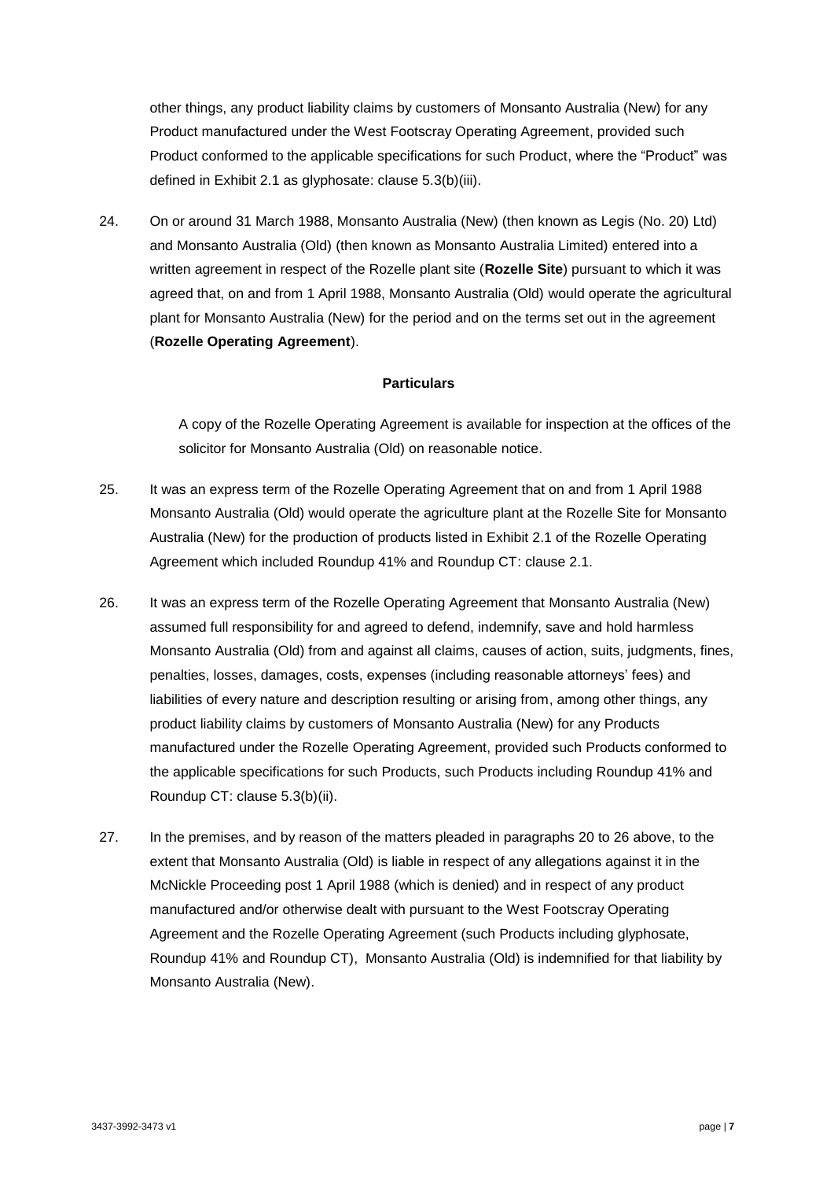other things, any product liability claims by customers of Monsanto Australia (New) for any Product manufactured under the West Footscray Operating Agreement, provided such Product conformed to the applicable specifications for such Product, where the "Product" was defined in Exhibit 2.1 as glyphosate: clause 5.3(b)(iii).

24. On or around 31 March 1988, Monsanto Australia (New) (then known as Legis (No. 20) Ltd) and Monsanto Australia (Old) (then known as Monsanto Australia Limited) entered into a written agreement in respect of the Rozelle plant site (**Rozelle Site**) pursuant to which it was agreed that, on and from 1 April 1988, Monsanto Australia (Old) would operate the agricultural plant for Monsanto Australia (New) for the period and on the terms set out in the agreement (**Rozelle Operating Agreement**).

#### **Particulars**

A copy of the Rozelle Operating Agreement is available for inspection at the offices of the solicitor for Monsanto Australia (Old) on reasonable notice.

- 25. It was an express term of the Rozelle Operating Agreement that on and from 1 April 1988 Monsanto Australia (Old) would operate the agriculture plant at the Rozelle Site for Monsanto Australia (New) for the production of products listed in Exhibit 2.1 of the Rozelle Operating Agreement which included Roundup 41% and Roundup CT: clause 2.1.
- <span id="page-7-1"></span>26. It was an express term of the Rozelle Operating Agreement that Monsanto Australia (New) assumed full responsibility for and agreed to defend, indemnify, save and hold harmless Monsanto Australia (Old) from and against all claims, causes of action, suits, judgments, fines, penalties, losses, damages, costs, expenses (including reasonable attorneys' fees) and liabilities of every nature and description resulting or arising from, among other things, any product liability claims by customers of Monsanto Australia (New) for any Products manufactured under the Rozelle Operating Agreement, provided such Products conformed to the applicable specifications for such Products, such Products including Roundup 41% and Roundup CT: clause 5.3(b)(ii).
- <span id="page-7-0"></span>27. In the premises, and by reason of the matters pleaded in paragraphs [20](#page-6-2) to [26](#page-7-1) above, to the extent that Monsanto Australia (Old) is liable in respect of any allegations against it in the McNickle Proceeding post 1 April 1988 (which is denied) and in respect of any product manufactured and/or otherwise dealt with pursuant to the West Footscray Operating Agreement and the Rozelle Operating Agreement (such Products including glyphosate, Roundup 41% and Roundup CT), Monsanto Australia (Old) is indemnified for that liability by Monsanto Australia (New).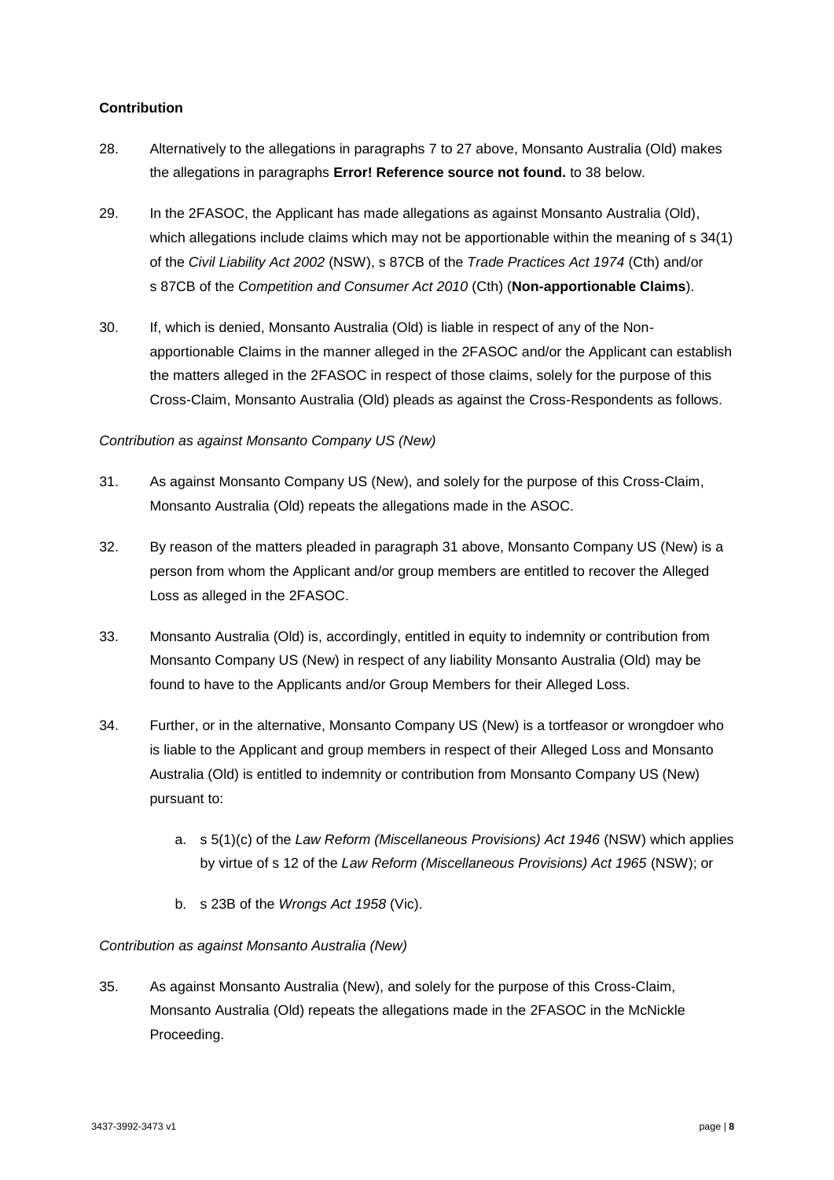#### **Contribution**

- 28. Alternatively to the allegations in paragraphs [7](#page-3-0) to [27](#page-7-0) above, Monsanto Australia (Old) makes the allegations in paragraphs **Error! Reference source not found.** to [38](#page-9-1) below.
- 29. In the 2FASOC, the Applicant has made allegations as against Monsanto Australia (Old), which allegations include claims which may not be apportionable within the meaning of s 34(1) of the *Civil Liability Act 2002* (NSW), s 87CB of the *Trade Practices Act 1974* (Cth) and/or s 87CB of the *Competition and Consumer Act 2010* (Cth) (**Non-apportionable Claims**).
- 30. If, which is denied, Monsanto Australia (Old) is liable in respect of any of the Nonapportionable Claims in the manner alleged in the 2FASOC and/or the Applicant can establish the matters alleged in the 2FASOC in respect of those claims, solely for the purpose of this Cross-Claim, Monsanto Australia (Old) pleads as against the Cross-Respondents as follows.

### *Contribution as against Monsanto Company US (New)*

- <span id="page-8-0"></span>31. As against Monsanto Company US (New), and solely for the purpose of this Cross-Claim, Monsanto Australia (Old) repeats the allegations made in the ASOC.
- 32. By reason of the matters pleaded in paragraph [31](#page-8-0) above, Monsanto Company US (New) is a person from whom the Applicant and/or group members are entitled to recover the Alleged Loss as alleged in the 2FASOC.
- 33. Monsanto Australia (Old) is, accordingly, entitled in equity to indemnity or contribution from Monsanto Company US (New) in respect of any liability Monsanto Australia (Old) may be found to have to the Applicants and/or Group Members for their Alleged Loss.
- 34. Further, or in the alternative, Monsanto Company US (New) is a tortfeasor or wrongdoer who is liable to the Applicant and group members in respect of their Alleged Loss and Monsanto Australia (Old) is entitled to indemnity or contribution from Monsanto Company US (New) pursuant to:
	- a. s 5(1)(c) of the *Law Reform (Miscellaneous Provisions) Act 1946* (NSW) which applies by virtue of s 12 of the *Law Reform (Miscellaneous Provisions) Act 1965* (NSW); or
	- b. s 23B of the *Wrongs Act 1958* (Vic).

#### *Contribution as against Monsanto Australia (New)*

<span id="page-8-1"></span>35. As against Monsanto Australia (New), and solely for the purpose of this Cross-Claim, Monsanto Australia (Old) repeats the allegations made in the 2FASOC in the McNickle Proceeding.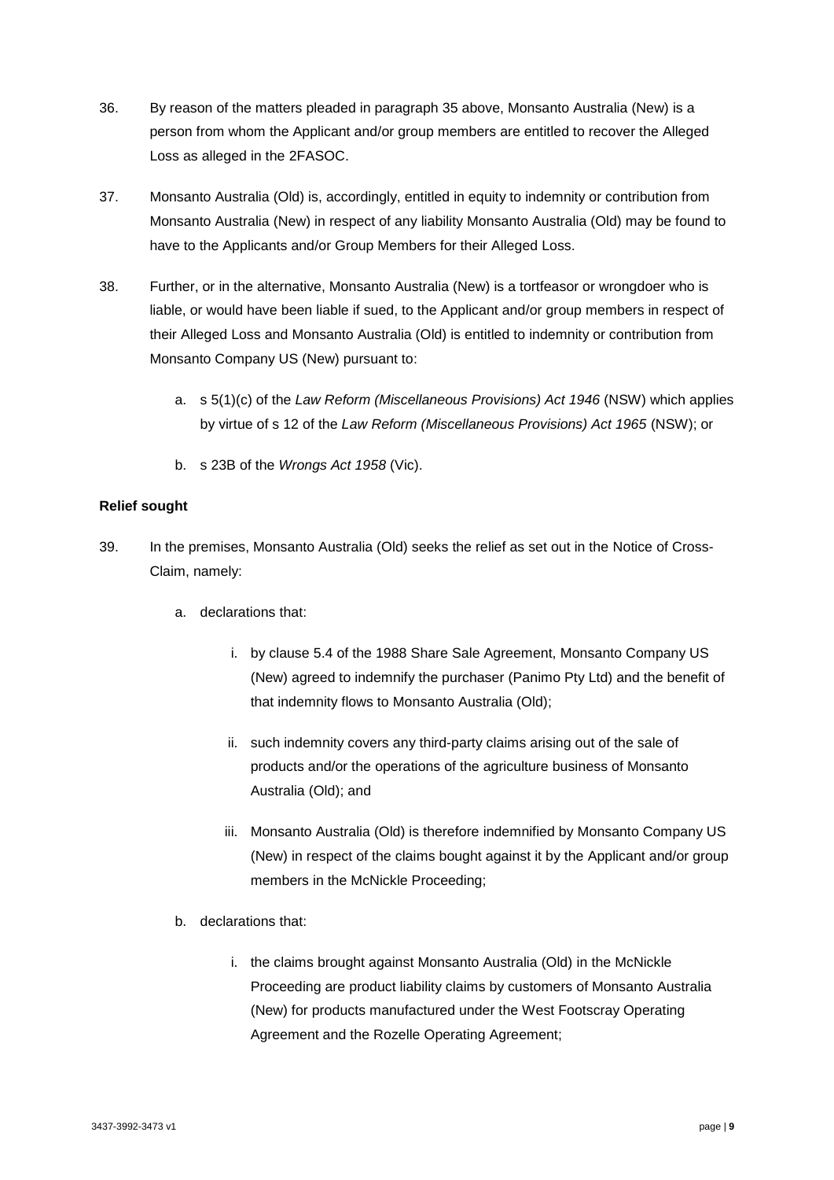- 36. By reason of the matters pleaded in paragraph [35](#page-8-1) above, Monsanto Australia (New) is a person from whom the Applicant and/or group members are entitled to recover the Alleged Loss as alleged in the 2FASOC.
- 37. Monsanto Australia (Old) is, accordingly, entitled in equity to indemnity or contribution from Monsanto Australia (New) in respect of any liability Monsanto Australia (Old) may be found to have to the Applicants and/or Group Members for their Alleged Loss.
- <span id="page-9-1"></span>38. Further, or in the alternative, Monsanto Australia (New) is a tortfeasor or wrongdoer who is liable, or would have been liable if sued, to the Applicant and/or group members in respect of their Alleged Loss and Monsanto Australia (Old) is entitled to indemnity or contribution from Monsanto Company US (New) pursuant to:
	- a. s 5(1)(c) of the *Law Reform (Miscellaneous Provisions) Act 1946* (NSW) which applies by virtue of s 12 of the *Law Reform (Miscellaneous Provisions) Act 1965* (NSW); or
	- b. s 23B of the *Wrongs Act 1958* (Vic).

### **Relief sought**

- <span id="page-9-0"></span>39. In the premises, Monsanto Australia (Old) seeks the relief as set out in the Notice of Cross-Claim, namely:
	- a. declarations that:
		- i. by clause 5.4 of the 1988 Share Sale Agreement, Monsanto Company US (New) agreed to indemnify the purchaser (Panimo Pty Ltd) and the benefit of that indemnity flows to Monsanto Australia (Old);
		- ii. such indemnity covers any third-party claims arising out of the sale of products and/or the operations of the agriculture business of Monsanto Australia (Old); and
		- iii. Monsanto Australia (Old) is therefore indemnified by Monsanto Company US (New) in respect of the claims bought against it by the Applicant and/or group members in the McNickle Proceeding;
	- b. declarations that:
		- i. the claims brought against Monsanto Australia (Old) in the McNickle Proceeding are product liability claims by customers of Monsanto Australia (New) for products manufactured under the West Footscray Operating Agreement and the Rozelle Operating Agreement;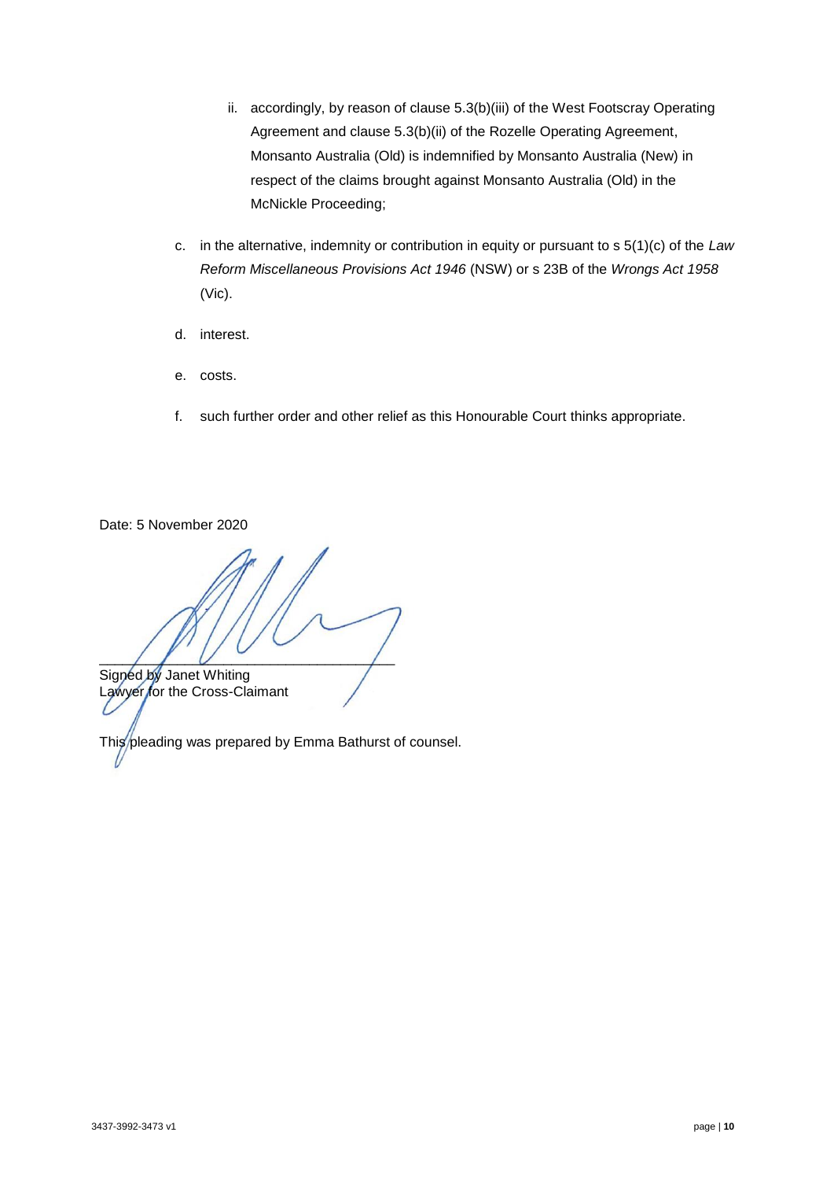- ii. accordingly, by reason of clause 5.3(b)(iii) of the West Footscray Operating Agreement and clause 5.3(b)(ii) of the Rozelle Operating Agreement, Monsanto Australia (Old) is indemnified by Monsanto Australia (New) in respect of the claims brought against Monsanto Australia (Old) in the McNickle Proceeding;
- c. in the alternative, indemnity or contribution in equity or pursuant to s 5(1)(c) of the *Law Reform Miscellaneous Provisions Act 1946* (NSW) or s 23B of the *Wrongs Act 1958* (Vic).
- d. interest.
- e. costs.
- f. such further order and other relief as this Honourable Court thinks appropriate.

Date: 5 November 2020

 $\frac{1}{2}$ Signed by Janet Whiting

Lawyer for the Cross-Claimant

This pleading was prepared by Emma Bathurst of counsel.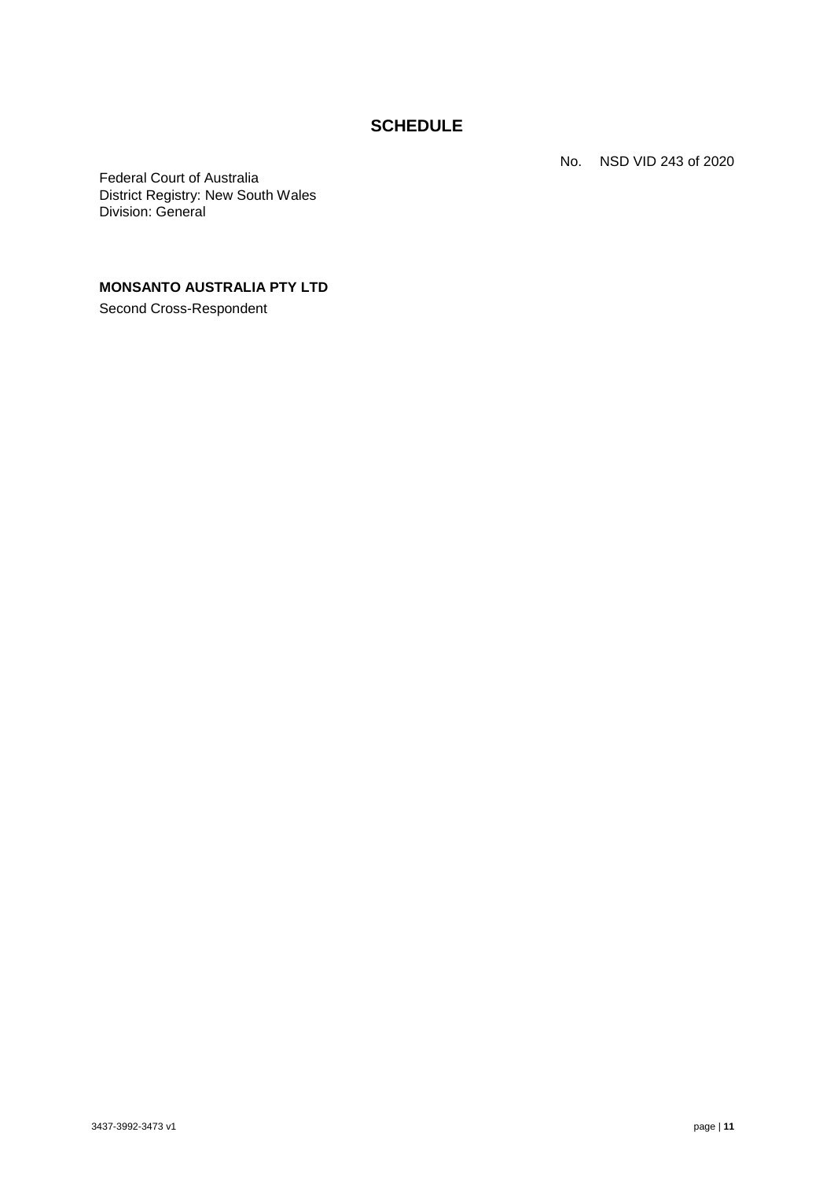## **SCHEDULE**

No. NSD VID 243 of 2020

Federal Court of Australia District Registry: New South Wales Division: General

## **MONSANTO AUSTRALIA PTY LTD**

Second Cross-Respondent